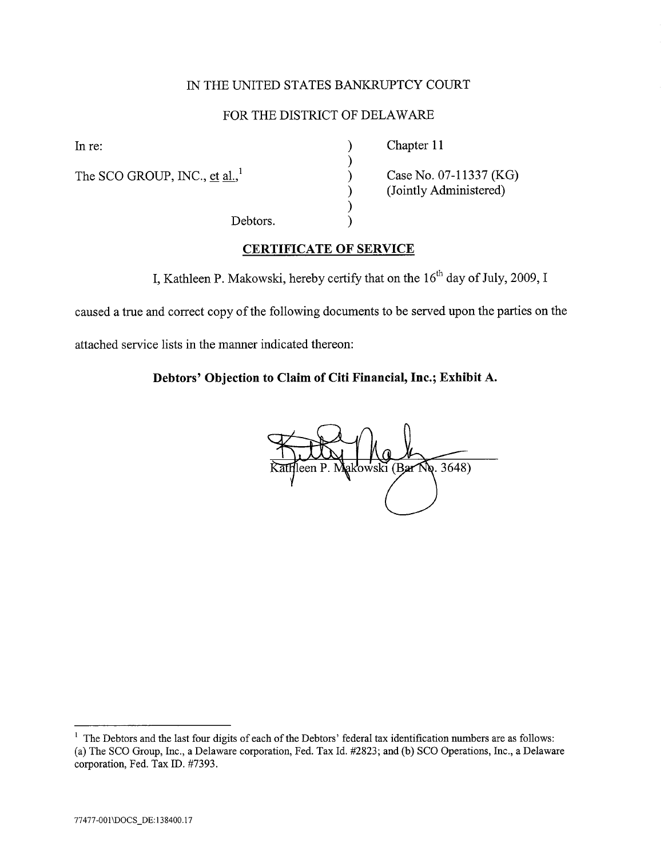# IN THE UNITED STATES BANKRUPTCY COURT

# FOR THE DISTRICT OF DELAWAR

) ) ) ) ) )

The SCO GROUP, INC., et al., $^1$ 

In re: Chapter 11

Case No, 07-11337 (KG) (Jointly Administered)

Debtors,

# CERTIFICATE OF SERVICE

I, Kathleen P. Makowski, hereby certify that on the  $16<sup>th</sup>$  day of July, 2009, I

caused a true and correct copy of the following documents to be served upon the parties on the

attached service lists in the maner indicated thereon:

# Debtors' Objection to Claim of Citi Financial, Inc.; Exhibit A.

**No. 3648)** een P. ki (Bar

 $1$  The Debtors and the last four digits of each of the Debtors' federal tax identification numbers are as follows: (a) The SCO Group, Inc., a Delaware corporation, Fed. Tax Id. #2823; and (b) SCO Operations, Inc., a Delaware corporation, Fed. Tax ID. #7393,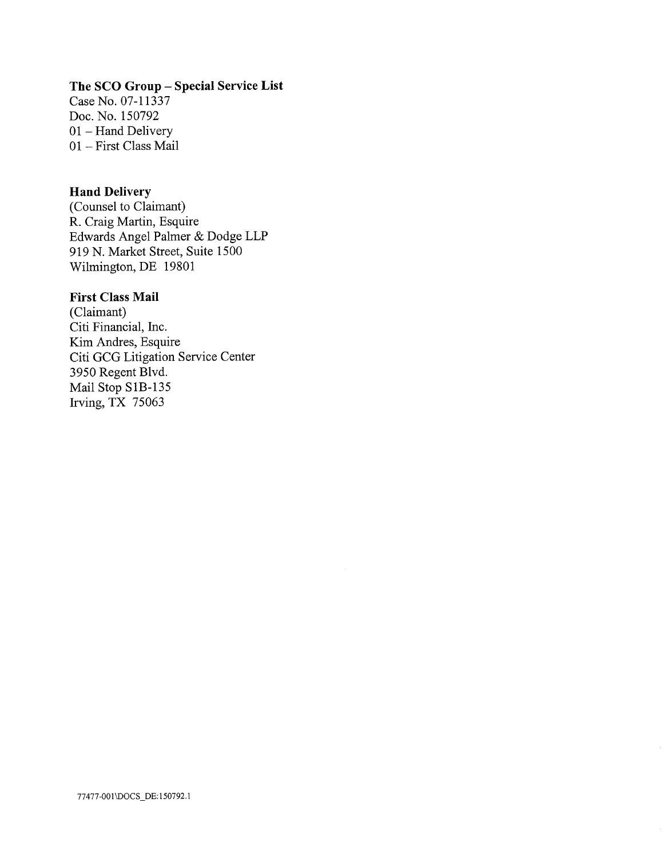# The SCO Group - Special Service List

Case No, 07-11337 Doc. No, 150792 01 - Hand Delivery 01 - First Class Mail

# Hand Delivery

(Counsel to Claimant) R. Craig Martin, Esquire Edwards Angel Palmer & Dodge LLP 919 N, Market Street, Suite 1500 Wilmington, DE 19801

# First Class Mail

(Claimant) Citi Financial, Inc, Kim Andres, Esquire Citi GCG Litigation Service Center 3950 Regent Blvd, Mail Stop SIB-135 Irving, TX 75063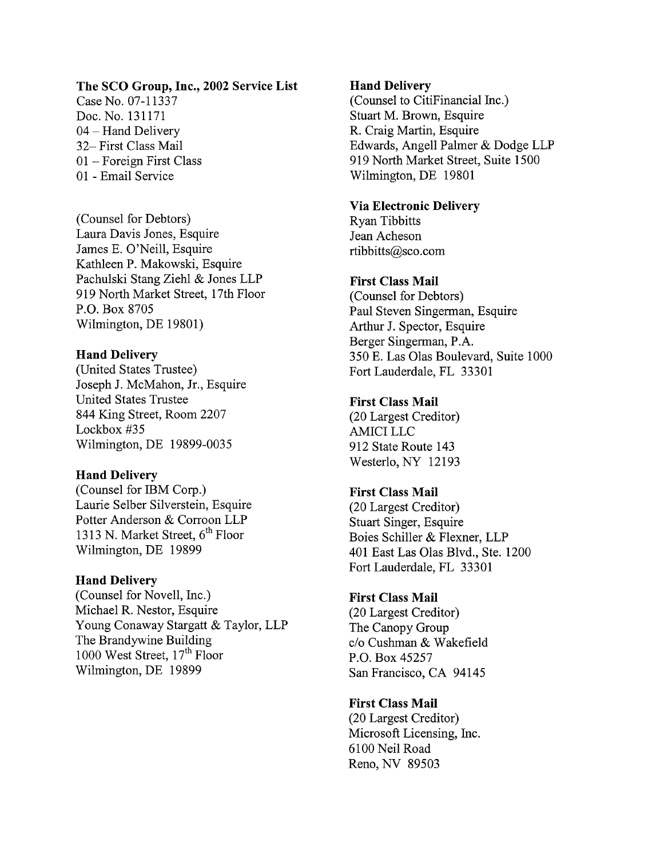## The SCO Group, Inc., 2002 Service List

Case No. 07-11337 Doc, No, 131171 04 - Hand Delivery 32- First Class Mail 01 - Foreign First Class 01 - Email Service

(Counsel for Debtors) Laura Davis lones, Esquire James E. O'Neill, Esquire Kathleen P. Makowski, Esquire Pachulski Stang Ziehl & Jones LLP 919 North Market Street, 17th Floor P,O, Box 8705 Wilmington, DE 19801)

### Hand Delivery

(United States Trustee) Joseph J. McMahon, Jr., Esquire United States Trustee 844 King Street, Room 2207 Lockbox #35 Wilmington, DE 19899-0035

#### Hand Delivery

(Counsel for IBM Corp,) Laurie SeIber Silverstein, Esquire Potter Anderson & Corroon LLP 1313 N. Market Street,  $6<sup>th</sup>$  Floor Wilmington, DE 19899

#### Hand Delivery

(Counsel for Novell, Inc.) Michael R. Nestor, Esquire Young Conaway Stargatt & Taylor, LLP The Brandywine Building 1000 West Street, 17<sup>th</sup> Floor Wilmington, DE 19899

### Hand Delivery

(Counsel to CitiFinancial Inc.) Stuart M. Brown, Esquire R. Craig Martin, Esquire Edwards, Angell Palmer & Dodge LLP 919 North Market Street, Suite 1500 Wilmington, DE 19801

#### Via Electronic Delivery

Ryan Tibbitts Jean Acheson rtibbitts@sco.com

# First Class Mail

(Counsel for Debtors) Paul Steven Singerman, Esquire Arhur J, Spector, Esquire Berger Singerman, P.A. 350 E. Las Olas Boulevard, Suite 1000 Fort Lauderdale, FL 33301

#### First Class Mail

(20 Largest Creditor) AMICI LLC 912 State Route 143 Westerlo, NY 12193

## First Class Mail

(20 Largest Creditor) Stuart Singer, Esquire Boies Schiler & Flexner, LLP 401 East Las Olas Blvd., Ste, 1200 Fort Lauderdale, FL 33301

## First Class Mail

(20 Largest Creditor) The Canopy Group c/o Cushman & Wakefield P,O, Box 45257 San Francisco, CA 94145

### First Class Mail

(20 Largest Creditor) Microsoft Licensing, Inc, 6100 Neil Road Reno, NY 89503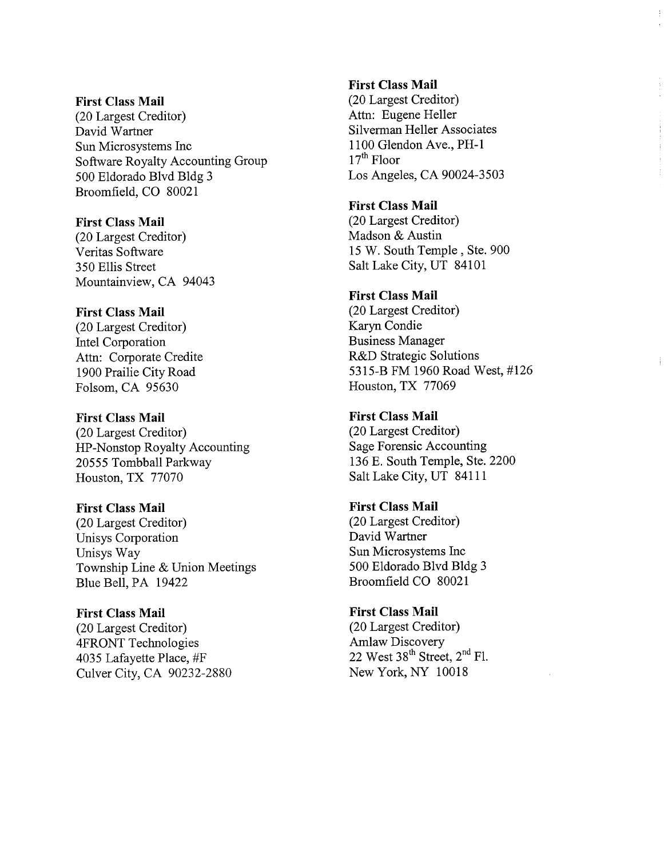#### First Class Mail

(20 Largest Creditor) David Wartner Sun Microsystems Inc Software Royalty Accounting Group 500 Eldorado Blvd Bldg 3 Broomfield, CO 80021

#### First Class Mail

(20 Largest Creditor) Veritas Software 350 Ellis Street Mountainview, CA 94043

### First Class Mail

(20 Largest Creditor) Intel Corporation Attn: Corporate Credite 1900 Prailie City Road Folsom, CA 95630

#### First Class Mail

(20 Largest Creditor) HP-Nonstop Royalty Accounting 20555 Tombball Parkway Houston, TX 77070

# First Class Mail

(20 Largest Creditor) Unisys Corporation Unisys Way Township Line & Union Meetings Blue Bell, PA 19422

### First Class Mail

(20 Largest Creditor) 4FRONT Technologies 4035 Lafayette Place, #F Culver City, CA 90232-2880

# First Class Mail

(20 Largest Creditor) Attn: Eugene Heller Silverman Heller Associates 1100 Glendon Ave., PH-1  $17<sup>th</sup>$  Floor Los Angeles, CA 90024-3503

### First Class Mail

(20 Largest Creditor) Madson & Austin 15 W, South Temple, Ste, 900 Salt Lake City, UT 84101

# First Class Mail

(20 Largest Creditor) Karyn Condie Business Manager R&D Strategic Solutions 5315-B FM 1960 Road West, #126 Houston, TX 77069

### First Class Mail

(20 Largest Creditor) Sage Forensic Accounting 136 E. South Temple, Ste, 2200 Salt Lake City, UT 84111

### First Class Mail

(20 Largest Creditor) David Wartner Sun Microsystems Inc 500 Eldorado Blvd Bldg 3 Broomfield CO 80021

# First Class Mail (20 Largest Creditor) Amlaw Discovery 22 West  $38<sup>th</sup>$  Street,  $2<sup>nd</sup>$  Fl. New York, NY 10018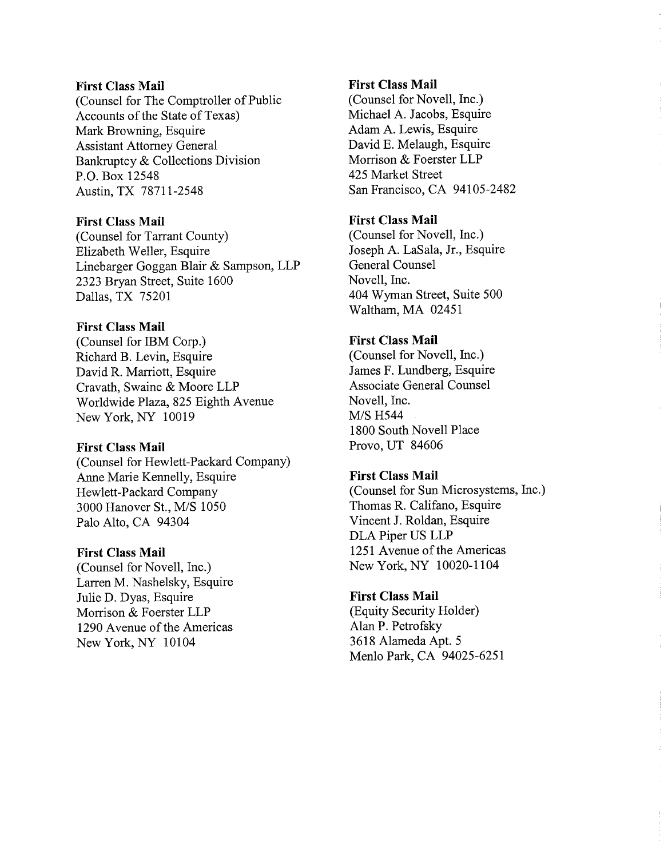#### First Class Mail

(Counsel for The Comptroller of Public Accounts of the State of Texas) Mark Browning, Esquire Assistant Attorney General Bankruptcy & Collections Division P,O, Box 12548 Austin, TX 78711-2548

#### First Class Mail

(Counsel for Tarrant County) Elizabeth Weller, Esquire Linebarger Goggan Blair & Sampson, LLP 2323 Bryan Street, Suite 1600 Dallas, TX 75201

# First Class Mail

(Counsel for IBM Corp.) Richard B. Levin, Esquire David R. Marriott, Esquire Cravath, Swaine & Moore LLP Worldwide Plaza, 825 Eighth Avenue New York, NY 10019

#### First Class Mail

(Counsel for Hewlett-Packard Company) Anne Marie Kennelly, Esquire Hewlett-Packard Company 3000 Hanover St., M/S 1050 Palo Alto, CA 94304

#### First Class Mail

(Counsel for Novell, Inc,) Larren M, Nashelsky, Esquire Julie D, Dyas, Esquire Morrison & Foerster LLP 1290 Avenue of the Americas New York, NY 10104

### First Class Mail

(Counsel for Novell, Inc.) Michael A. Jacobs, Esquire Adam A. Lewis, Esquire David E, Melaugh, Esquire Morrison & Foerster LLP 425 Market Street San Francisco, CA 94105-2482

# First Class Mail

(Counsel for Novell, Inc,) Joseph A. LaSala, Jr., Esquire General Counsel Novell, Inc, 404 Wyman Street, Suite 500 Waltham, MA 02451

#### First Class Mail

(Counsel for Novell, Inc.) James F, Lundberg, Esquire Associate General Counsel Novell, Inc, **M/S H544** 1800 South Novell Place Provo, UT 84606

#### First Class Mail

(Counsel for Sun Microsystems, Inc,) Thomas R. Califano, Esquire Vincent J. Roldan, Esquire DLA Piper US LLP 1251 Avenue of the Americas New York, NY 10020-1104

#### First Class Mail

(Equity Security Holder) Alan P. Petrofsky 3618 Alameda Apt. 5 Menlo Park, CA 94025-6251